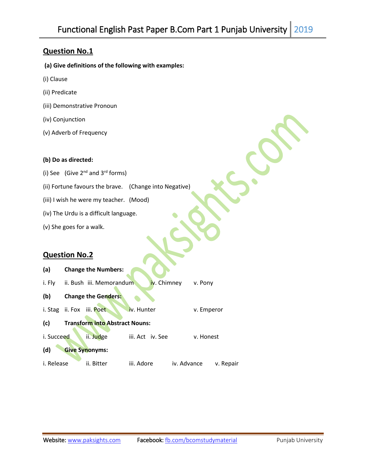# **Question No.1**

- **(a) Give definitions of the following with examples:**
- (i) Clause
- (ii) Predicate
- (iii) Demonstrative Pronoun
- (iv) Conjunction
- (v) Adverb of Frequency

### **(b) Do as directed:**

- (i) See (Give  $2^{nd}$  and  $3^{rd}$  forms)
- (ii) Fortune favours the brave. (Change into Negative)
- (iii) I wish he were my teacher. (Mood)
- (iv) The Urdu is a difficult language.
- (v) She goes for a walk.

# **Question No.2**

| (a)        | <b>Change the Numbers:</b>            |                  |             |            |
|------------|---------------------------------------|------------------|-------------|------------|
| i. Fly     | ii. Bush iii. Memorandum              | iv. Chimney      |             | v. Pony    |
| (b)        | <b>Change the Genders:</b>            |                  |             |            |
|            | i. Stag ii. Fox iii. Poet             | iv. Hunter       |             | v. Emperor |
| (c)        | <b>Transform into Abstract Nouns:</b> |                  |             |            |
| i. Succeed | ii. Judge                             | iii. Act iv. See |             | v. Honest  |
| (d)        | <b>Give Synonyms:</b>                 |                  |             |            |
| i. Release | ii. Bitter                            | iii. Adore       | iv. Advance | v. Repair  |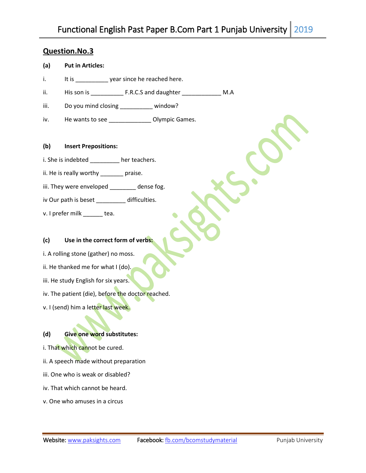### **Question.No.3**

### **(a) Put in Articles:**

- i. It is vear since he reached here.
- ii. His son is \_\_\_\_\_\_\_\_\_\_ F.R.C.S and daughter \_\_\_\_\_\_\_\_\_\_\_\_ M.A
- iii. Do you mind closing \_\_\_\_\_\_\_\_\_\_\_ window?
- iv. He wants to see \_\_\_\_\_\_\_\_\_\_\_\_\_\_\_ Olympic Games.
- **(b) Insert Prepositions:**
- i. She is indebted \_\_\_\_\_\_\_\_\_ her teachers.
- ii. He is really worthy \_\_\_\_\_\_\_ praise.
- iii. They were enveloped \_\_\_\_\_\_\_\_ dense fog.
- iv Our path is beset \_\_\_\_\_\_\_\_\_ difficulties.
- v. I prefer milk \_\_\_\_\_\_ tea.

### **(c) Use in the correct form of verbs:**

- i. A rolling stone (gather) no moss.
- ii. He thanked me for what I (do).
- iii. He study English for six years.
- iv. The patient (die), before the doctor reached.
- v. I (send) him a letter last week.

#### **(d) Give one word substitutes:**

- i. That which cannot be cured.
- ii. A speech made without preparation
- iii. One who is weak or disabled?
- iv. That which cannot be heard.
- v. One who amuses in a circus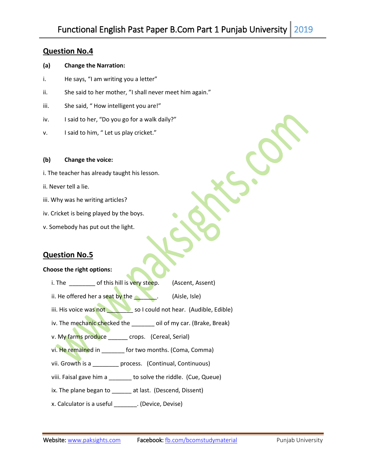### **Question No.4**

#### **(a) Change the Narration:**

- i. He says, "I am writing you a letter"
- ii. She said to her mother, "I shall never meet him again."
- iii. She said, "How intelligent you are!"
- iv. I said to her, "Do you go for a walk daily?"
- v. I said to him, " Let us play cricket."

#### **(b) Change the voice:**

- i. The teacher has already taught his lesson.
- ii. Never tell a lie.
- iii. Why was he writing articles?
- iv. Cricket is being played by the boys.
- v. Somebody has put out the light.

### **Question No.5**

#### **Choose the right options:**

- i. The cof this hill is very steep. (Ascent, Assent)
- ii. He offered her a seat by the  $\Box$  (Aisle, Isle)
- iii. His voice was not so I could not hear. (Audible, Edible)
- iv. The mechanic checked the \_\_\_\_\_\_ oil of my car. (Brake, Break)
- v. My farms produce \_\_\_\_\_ crops. (Cereal, Serial)
- vi. He remained in \_\_\_\_\_\_\_ for two months. (Coma, Comma)
- vii. Growth is a **process.** (Continual, Continuous)
- viii. Faisal gave him a \_\_\_\_\_\_\_ to solve the riddle. (Cue, Queue)
- ix. The plane began to **at last.** (Descend, Dissent)
- x. Calculator is a useful \_\_\_\_\_\_\_. (Device, Devise)